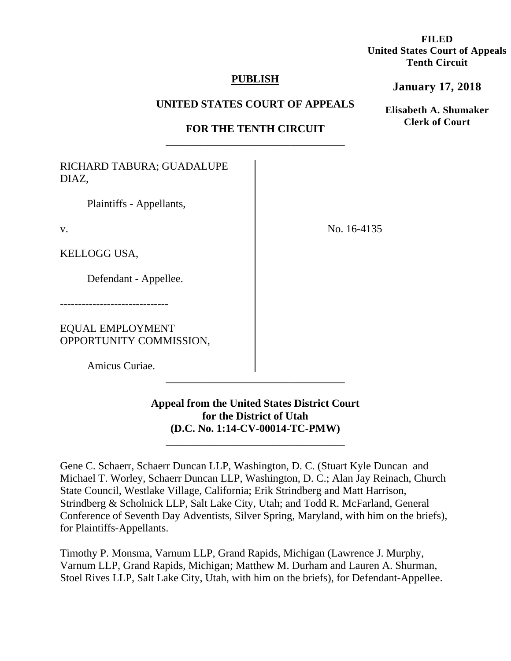# **FILED United States Court of Appeals Tenth Circuit**

# **PUBLISH**

## **UNITED STATES COURT OF APPEALS**

# **FOR THE TENTH CIRCUIT**  \_\_\_\_\_\_\_\_\_\_\_\_\_\_\_\_\_\_\_\_\_\_\_\_\_\_\_\_\_\_\_\_\_

RICHARD TABURA; GUADALUPE DIAZ,

Plaintiffs - Appellants,

v.

KELLOGG USA,

Defendant - Appellee.

------------------------------

EQUAL EMPLOYMENT OPPORTUNITY COMMISSION,

Amicus Curiae.

**Appeal from the United States District Court for the District of Utah (D.C. No. 1:14-CV-00014-TC-PMW)**

\_\_\_\_\_\_\_\_\_\_\_\_\_\_\_\_\_\_\_\_\_\_\_\_\_\_\_\_\_\_\_\_\_

\_\_\_\_\_\_\_\_\_\_\_\_\_\_\_\_\_\_\_\_\_\_\_\_\_\_\_\_\_\_\_\_\_

Gene C. Schaerr, Schaerr Duncan LLP, Washington, D. C. (Stuart Kyle Duncan and Michael T. Worley, Schaerr Duncan LLP, Washington, D. C.; Alan Jay Reinach, Church State Council, Westlake Village, California; Erik Strindberg and Matt Harrison, Strindberg & Scholnick LLP, Salt Lake City, Utah; and Todd R. McFarland, General Conference of Seventh Day Adventists, Silver Spring, Maryland, with him on the briefs), for Plaintiffs-Appellants.

Timothy P. Monsma, Varnum LLP, Grand Rapids, Michigan (Lawrence J. Murphy, Varnum LLP, Grand Rapids, Michigan; Matthew M. Durham and Lauren A. Shurman, Stoel Rives LLP, Salt Lake City, Utah, with him on the briefs), for Defendant-Appellee.

No. 16-4135

**January 17, 2018**

**Elisabeth A. Shumaker Clerk of Court**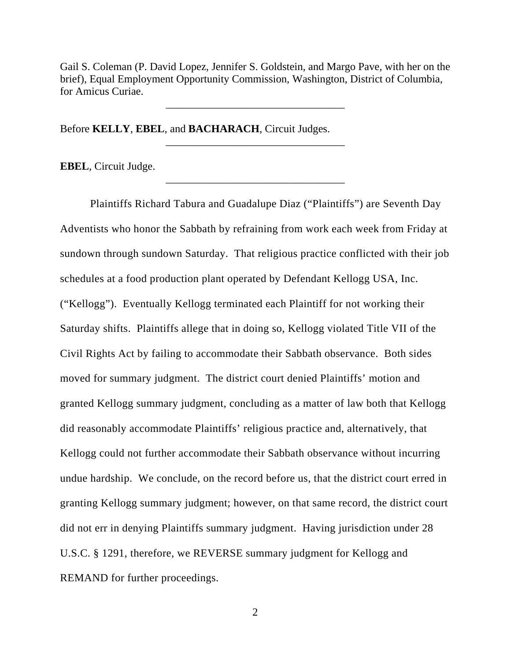Gail S. Coleman (P. David Lopez, Jennifer S. Goldstein, and Margo Pave, with her on the brief), Equal Employment Opportunity Commission, Washington, District of Columbia, for Amicus Curiae.

\_\_\_\_\_\_\_\_\_\_\_\_\_\_\_\_\_\_\_\_\_\_\_\_\_\_\_\_\_\_\_\_\_

\_\_\_\_\_\_\_\_\_\_\_\_\_\_\_\_\_\_\_\_\_\_\_\_\_\_\_\_\_\_\_\_\_

\_\_\_\_\_\_\_\_\_\_\_\_\_\_\_\_\_\_\_\_\_\_\_\_\_\_\_\_\_\_\_\_\_

Before **KELLY**, **EBEL**, and **BACHARACH**, Circuit Judges.

**EBEL**, Circuit Judge.

 Plaintiffs Richard Tabura and Guadalupe Diaz ("Plaintiffs") are Seventh Day Adventists who honor the Sabbath by refraining from work each week from Friday at sundown through sundown Saturday. That religious practice conflicted with their job schedules at a food production plant operated by Defendant Kellogg USA, Inc. ("Kellogg"). Eventually Kellogg terminated each Plaintiff for not working their Saturday shifts. Plaintiffs allege that in doing so, Kellogg violated Title VII of the Civil Rights Act by failing to accommodate their Sabbath observance. Both sides moved for summary judgment. The district court denied Plaintiffs' motion and granted Kellogg summary judgment, concluding as a matter of law both that Kellogg did reasonably accommodate Plaintiffs' religious practice and, alternatively, that Kellogg could not further accommodate their Sabbath observance without incurring undue hardship. We conclude, on the record before us, that the district court erred in granting Kellogg summary judgment; however, on that same record, the district court did not err in denying Plaintiffs summary judgment. Having jurisdiction under 28 U.S.C. § 1291, therefore, we REVERSE summary judgment for Kellogg and REMAND for further proceedings.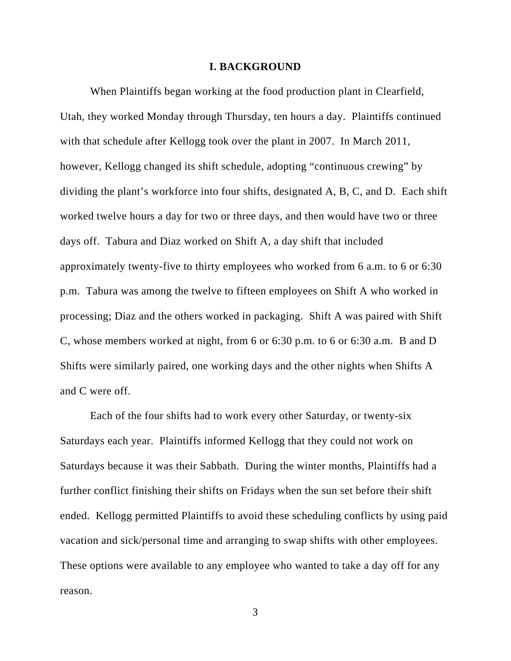#### **I. BACKGROUND**

When Plaintiffs began working at the food production plant in Clearfield, Utah, they worked Monday through Thursday, ten hours a day. Plaintiffs continued with that schedule after Kellogg took over the plant in 2007. In March 2011, however, Kellogg changed its shift schedule, adopting "continuous crewing" by dividing the plant's workforce into four shifts, designated A, B, C, and D. Each shift worked twelve hours a day for two or three days, and then would have two or three days off. Tabura and Diaz worked on Shift A, a day shift that included approximately twenty-five to thirty employees who worked from 6 a.m. to 6 or 6:30 p.m. Tabura was among the twelve to fifteen employees on Shift A who worked in processing; Diaz and the others worked in packaging. Shift A was paired with Shift C, whose members worked at night, from 6 or 6:30 p.m. to 6 or 6:30 a.m. B and D Shifts were similarly paired, one working days and the other nights when Shifts A and C were off.

Each of the four shifts had to work every other Saturday, or twenty-six Saturdays each year. Plaintiffs informed Kellogg that they could not work on Saturdays because it was their Sabbath. During the winter months, Plaintiffs had a further conflict finishing their shifts on Fridays when the sun set before their shift ended. Kellogg permitted Plaintiffs to avoid these scheduling conflicts by using paid vacation and sick/personal time and arranging to swap shifts with other employees. These options were available to any employee who wanted to take a day off for any reason.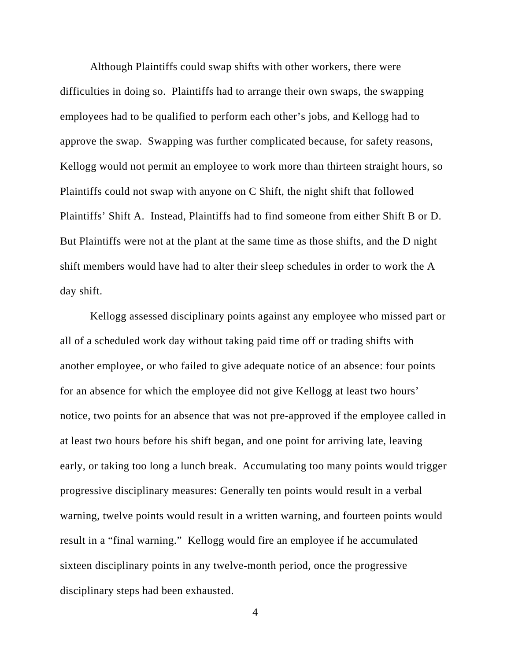Although Plaintiffs could swap shifts with other workers, there were difficulties in doing so. Plaintiffs had to arrange their own swaps, the swapping employees had to be qualified to perform each other's jobs, and Kellogg had to approve the swap. Swapping was further complicated because, for safety reasons, Kellogg would not permit an employee to work more than thirteen straight hours, so Plaintiffs could not swap with anyone on C Shift, the night shift that followed Plaintiffs' Shift A. Instead, Plaintiffs had to find someone from either Shift B or D. But Plaintiffs were not at the plant at the same time as those shifts, and the D night shift members would have had to alter their sleep schedules in order to work the A day shift.

Kellogg assessed disciplinary points against any employee who missed part or all of a scheduled work day without taking paid time off or trading shifts with another employee, or who failed to give adequate notice of an absence: four points for an absence for which the employee did not give Kellogg at least two hours' notice, two points for an absence that was not pre-approved if the employee called in at least two hours before his shift began, and one point for arriving late, leaving early, or taking too long a lunch break. Accumulating too many points would trigger progressive disciplinary measures: Generally ten points would result in a verbal warning, twelve points would result in a written warning, and fourteen points would result in a "final warning." Kellogg would fire an employee if he accumulated sixteen disciplinary points in any twelve-month period, once the progressive disciplinary steps had been exhausted.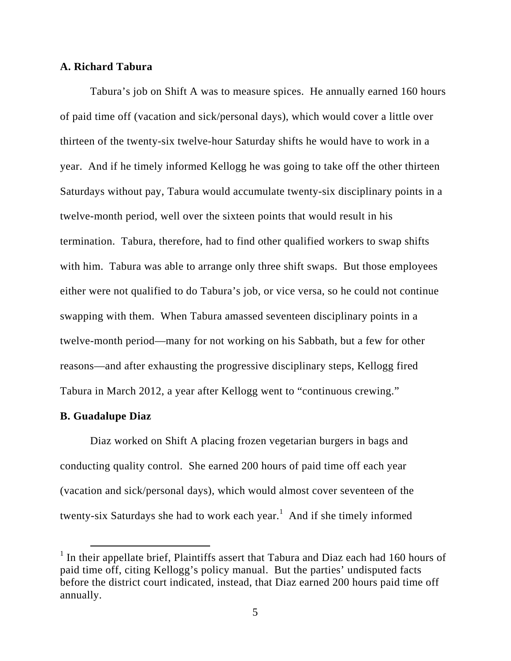## **A. Richard Tabura**

Tabura's job on Shift A was to measure spices. He annually earned 160 hours of paid time off (vacation and sick/personal days), which would cover a little over thirteen of the twenty-six twelve-hour Saturday shifts he would have to work in a year. And if he timely informed Kellogg he was going to take off the other thirteen Saturdays without pay, Tabura would accumulate twenty-six disciplinary points in a twelve-month period, well over the sixteen points that would result in his termination. Tabura, therefore, had to find other qualified workers to swap shifts with him. Tabura was able to arrange only three shift swaps. But those employees either were not qualified to do Tabura's job, or vice versa, so he could not continue swapping with them. When Tabura amassed seventeen disciplinary points in a twelve-month period—many for not working on his Sabbath, but a few for other reasons—and after exhausting the progressive disciplinary steps, Kellogg fired Tabura in March 2012, a year after Kellogg went to "continuous crewing."

### **B. Guadalupe Diaz**

Diaz worked on Shift A placing frozen vegetarian burgers in bags and conducting quality control. She earned 200 hours of paid time off each year (vacation and sick/personal days), which would almost cover seventeen of the twenty-six Saturdays she had to work each year.<sup>1</sup> And if she timely informed

<sup>&</sup>lt;sup>1</sup> In their appellate brief, Plaintiffs assert that Tabura and Diaz each had 160 hours of paid time off, citing Kellogg's policy manual. But the parties' undisputed facts before the district court indicated, instead, that Diaz earned 200 hours paid time off annually.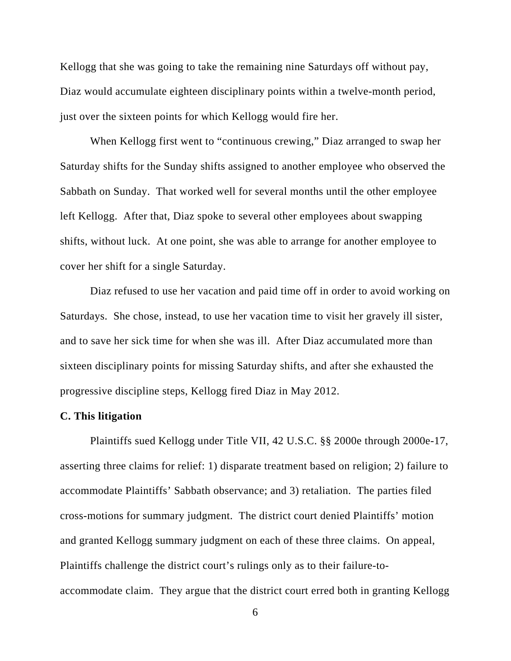Kellogg that she was going to take the remaining nine Saturdays off without pay, Diaz would accumulate eighteen disciplinary points within a twelve-month period, just over the sixteen points for which Kellogg would fire her.

When Kellogg first went to "continuous crewing," Diaz arranged to swap her Saturday shifts for the Sunday shifts assigned to another employee who observed the Sabbath on Sunday. That worked well for several months until the other employee left Kellogg. After that, Diaz spoke to several other employees about swapping shifts, without luck. At one point, she was able to arrange for another employee to cover her shift for a single Saturday.

Diaz refused to use her vacation and paid time off in order to avoid working on Saturdays. She chose, instead, to use her vacation time to visit her gravely ill sister, and to save her sick time for when she was ill. After Diaz accumulated more than sixteen disciplinary points for missing Saturday shifts, and after she exhausted the progressive discipline steps, Kellogg fired Diaz in May 2012.

### **C. This litigation**

 Plaintiffs sued Kellogg under Title VII, 42 U.S.C. §§ 2000e through 2000e-17, asserting three claims for relief: 1) disparate treatment based on religion; 2) failure to accommodate Plaintiffs' Sabbath observance; and 3) retaliation. The parties filed cross-motions for summary judgment. The district court denied Plaintiffs' motion and granted Kellogg summary judgment on each of these three claims. On appeal, Plaintiffs challenge the district court's rulings only as to their failure-toaccommodate claim. They argue that the district court erred both in granting Kellogg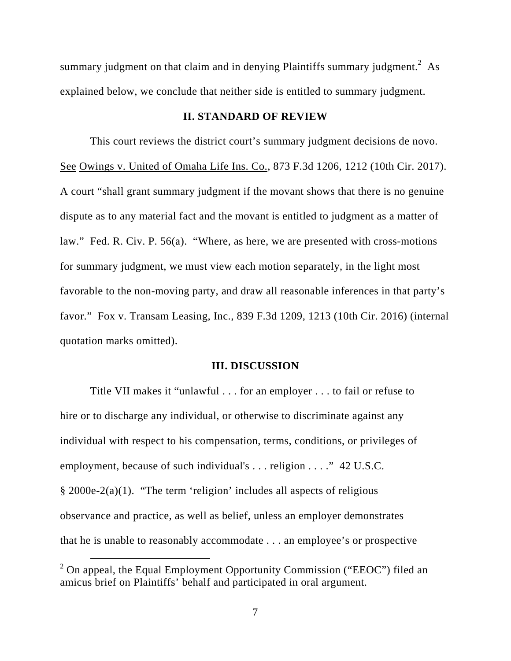summary judgment on that claim and in denying Plaintiffs summary judgment.<sup>2</sup> As explained below, we conclude that neither side is entitled to summary judgment.

## **II. STANDARD OF REVIEW**

 This court reviews the district court's summary judgment decisions de novo. See Owings v. United of Omaha Life Ins. Co., 873 F.3d 1206, 1212 (10th Cir. 2017). A court "shall grant summary judgment if the movant shows that there is no genuine dispute as to any material fact and the movant is entitled to judgment as a matter of law." Fed. R. Civ. P. 56(a). "Where, as here, we are presented with cross-motions for summary judgment, we must view each motion separately, in the light most favorable to the non-moving party, and draw all reasonable inferences in that party's favor." Fox v. Transam Leasing, Inc., 839 F.3d 1209, 1213 (10th Cir. 2016) (internal quotation marks omitted).

#### **III. DISCUSSION**

Title VII makes it "unlawful . . . for an employer . . . to fail or refuse to hire or to discharge any individual, or otherwise to discriminate against any individual with respect to his compensation, terms, conditions, or privileges of employment, because of such individual's . . . religion . . . ." 42 U.S.C. § 2000e-2(a)(1). "The term 'religion' includes all aspects of religious observance and practice, as well as belief, unless an employer demonstrates that he is unable to reasonably accommodate . . . an employee's or prospective

<sup>&</sup>lt;sup>2</sup> On appeal, the Equal Employment Opportunity Commission ("EEOC") filed an amicus brief on Plaintiffs' behalf and participated in oral argument.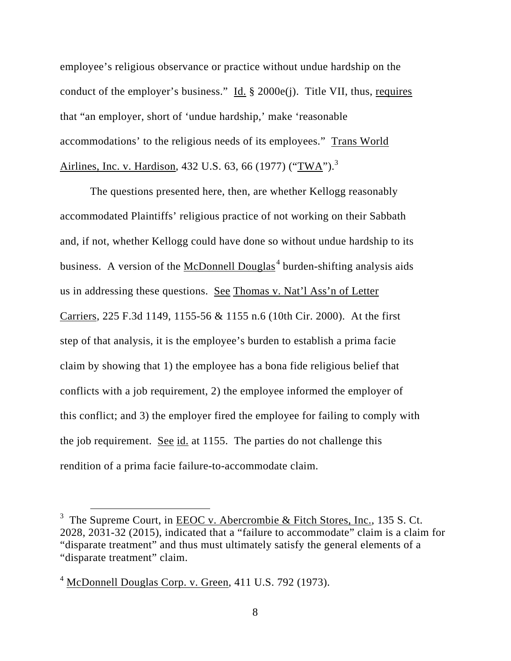employee's religious observance or practice without undue hardship on the conduct of the employer's business." Id.  $\S$  2000e(j). Title VII, thus, requires that "an employer, short of 'undue hardship,' make 'reasonable accommodations' to the religious needs of its employees." Trans World Airlines, Inc. v. Hardison, 432 U.S. 63, 66 (1977) (" $\frac{1}{2}$ ").<sup>3</sup>

The questions presented here, then, are whether Kellogg reasonably accommodated Plaintiffs' religious practice of not working on their Sabbath and, if not, whether Kellogg could have done so without undue hardship to its business. A version of the  $McDonnell Douglas<sup>4</sup> burden-shifting analysis aids$ </u> us in addressing these questions. See Thomas v. Nat'l Ass'n of Letter Carriers, 225 F.3d 1149, 1155-56 & 1155 n.6 (10th Cir. 2000). At the first step of that analysis, it is the employee's burden to establish a prima facie claim by showing that 1) the employee has a bona fide religious belief that conflicts with a job requirement, 2) the employee informed the employer of this conflict; and 3) the employer fired the employee for failing to comply with the job requirement. See id. at 1155. The parties do not challenge this rendition of a prima facie failure-to-accommodate claim.

<sup>&</sup>lt;sup>3</sup> The Supreme Court, in <u>EEOC</u> v. Abercrombie & Fitch Stores, Inc., 135 S. Ct. 2028, 2031-32 (2015), indicated that a "failure to accommodate" claim is a claim for "disparate treatment" and thus must ultimately satisfy the general elements of a "disparate treatment" claim.

 $4 \underline{\text{McDonnell Douglas Corp. v. Green}}$ , 411 U.S. 792 (1973).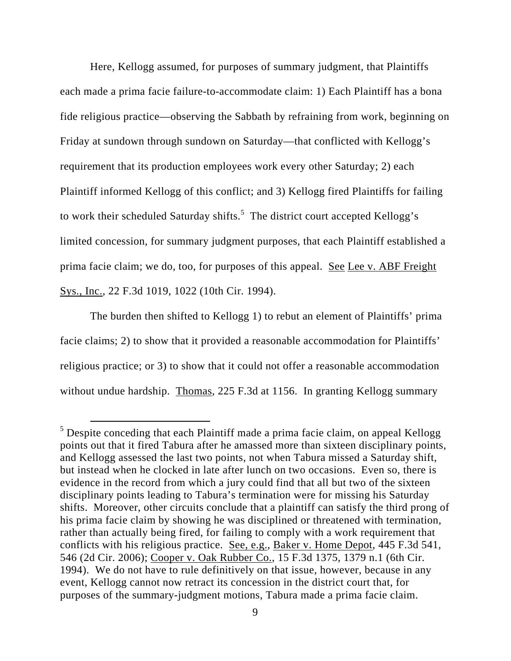Here, Kellogg assumed, for purposes of summary judgment, that Plaintiffs each made a prima facie failure-to-accommodate claim: 1) Each Plaintiff has a bona fide religious practice—observing the Sabbath by refraining from work, beginning on Friday at sundown through sundown on Saturday—that conflicted with Kellogg's requirement that its production employees work every other Saturday; 2) each Plaintiff informed Kellogg of this conflict; and 3) Kellogg fired Plaintiffs for failing to work their scheduled Saturday shifts. $5$  The district court accepted Kellogg's limited concession, for summary judgment purposes, that each Plaintiff established a prima facie claim; we do, too, for purposes of this appeal. See Lee v. ABF Freight Sys., Inc., 22 F.3d 1019, 1022 (10th Cir. 1994).

The burden then shifted to Kellogg 1) to rebut an element of Plaintiffs' prima facie claims; 2) to show that it provided a reasonable accommodation for Plaintiffs' religious practice; or 3) to show that it could not offer a reasonable accommodation without undue hardship. Thomas, 225 F.3d at 1156. In granting Kellogg summary

<sup>&</sup>lt;sup>5</sup> Despite conceding that each Plaintiff made a prima facie claim, on appeal Kellogg points out that it fired Tabura after he amassed more than sixteen disciplinary points, and Kellogg assessed the last two points, not when Tabura missed a Saturday shift, but instead when he clocked in late after lunch on two occasions. Even so, there is evidence in the record from which a jury could find that all but two of the sixteen disciplinary points leading to Tabura's termination were for missing his Saturday shifts. Moreover, other circuits conclude that a plaintiff can satisfy the third prong of his prima facie claim by showing he was disciplined or threatened with termination, rather than actually being fired, for failing to comply with a work requirement that conflicts with his religious practice. See, e.g., Baker v. Home Depot, 445 F.3d 541, 546 (2d Cir. 2006); Cooper v. Oak Rubber Co., 15 F.3d 1375, 1379 n.1 (6th Cir. 1994). We do not have to rule definitively on that issue, however, because in any event, Kellogg cannot now retract its concession in the district court that, for purposes of the summary-judgment motions, Tabura made a prima facie claim.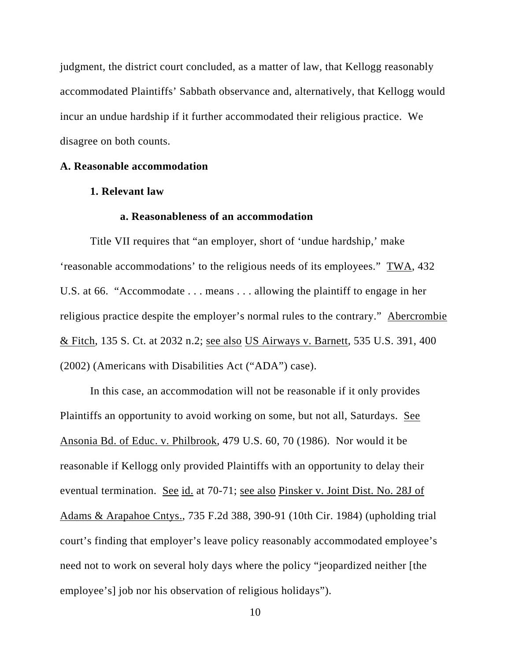judgment, the district court concluded, as a matter of law, that Kellogg reasonably accommodated Plaintiffs' Sabbath observance and, alternatively, that Kellogg would incur an undue hardship if it further accommodated their religious practice. We disagree on both counts.

# **A. Reasonable accommodation**

### **1. Relevant law**

# **a. Reasonableness of an accommodation**

Title VII requires that "an employer, short of 'undue hardship,' make 'reasonable accommodations' to the religious needs of its employees." TWA, 432 U.S. at 66. "Accommodate . . . means . . . allowing the plaintiff to engage in her religious practice despite the employer's normal rules to the contrary." Abercrombie & Fitch, 135 S. Ct. at 2032 n.2; see also US Airways v. Barnett, 535 U.S. 391, 400 (2002) (Americans with Disabilities Act ("ADA") case).

In this case, an accommodation will not be reasonable if it only provides Plaintiffs an opportunity to avoid working on some, but not all, Saturdays. See Ansonia Bd. of Educ. v. Philbrook, 479 U.S. 60, 70 (1986). Nor would it be reasonable if Kellogg only provided Plaintiffs with an opportunity to delay their eventual termination. See id. at 70-71; see also Pinsker v. Joint Dist. No. 28J of Adams & Arapahoe Cntys., 735 F.2d 388, 390-91 (10th Cir. 1984) (upholding trial court's finding that employer's leave policy reasonably accommodated employee's need not to work on several holy days where the policy "jeopardized neither [the employee's] job nor his observation of religious holidays").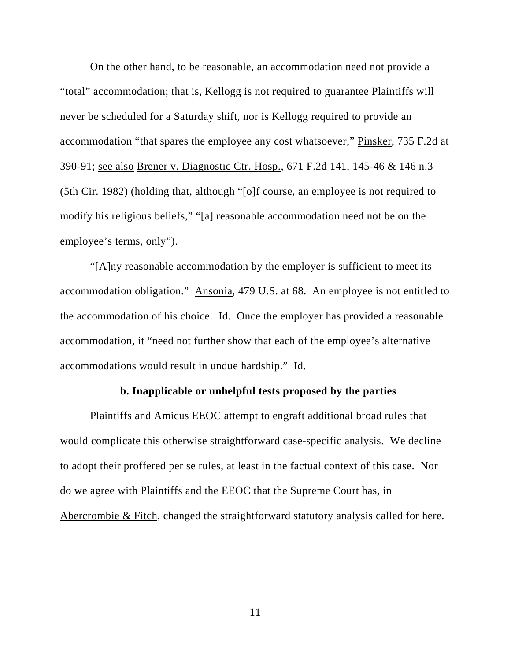On the other hand, to be reasonable, an accommodation need not provide a "total" accommodation; that is, Kellogg is not required to guarantee Plaintiffs will never be scheduled for a Saturday shift, nor is Kellogg required to provide an accommodation "that spares the employee any cost whatsoever," Pinsker, 735 F.2d at 390-91; see also Brener v. Diagnostic Ctr. Hosp., 671 F.2d 141, 145-46 & 146 n.3 (5th Cir. 1982) (holding that, although "[o]f course, an employee is not required to modify his religious beliefs," "[a] reasonable accommodation need not be on the employee's terms, only").

"[A]ny reasonable accommodation by the employer is sufficient to meet its accommodation obligation." Ansonia, 479 U.S. at 68. An employee is not entitled to the accommodation of his choice. Id. Once the employer has provided a reasonable accommodation, it "need not further show that each of the employee's alternative accommodations would result in undue hardship." Id.

### **b. Inapplicable or unhelpful tests proposed by the parties**

Plaintiffs and Amicus EEOC attempt to engraft additional broad rules that would complicate this otherwise straightforward case-specific analysis. We decline to adopt their proffered per se rules, at least in the factual context of this case. Nor do we agree with Plaintiffs and the EEOC that the Supreme Court has, in Abercrombie & Fitch, changed the straightforward statutory analysis called for here.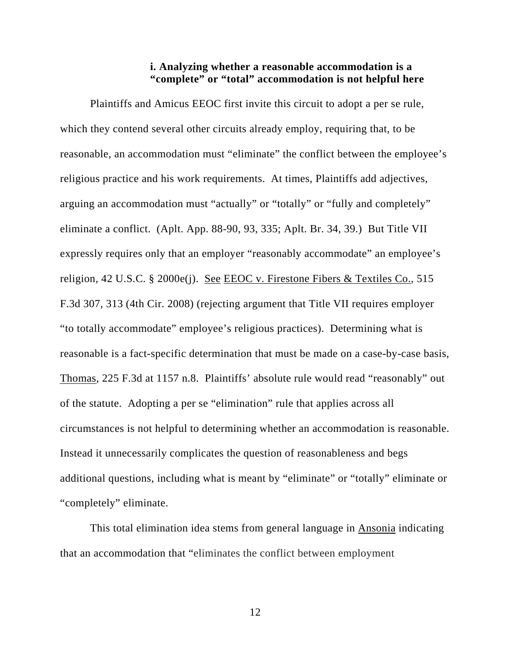## **i. Analyzing whether a reasonable accommodation is a "complete" or "total" accommodation is not helpful here**

Plaintiffs and Amicus EEOC first invite this circuit to adopt a per se rule, which they contend several other circuits already employ, requiring that, to be reasonable, an accommodation must "eliminate" the conflict between the employee's religious practice and his work requirements. At times, Plaintiffs add adjectives, arguing an accommodation must "actually" or "totally" or "fully and completely" eliminate a conflict. (Aplt. App. 88-90, 93, 335; Aplt. Br. 34, 39.) But Title VII expressly requires only that an employer "reasonably accommodate" an employee's religion, 42 U.S.C. § 2000e(j). See EEOC v. Firestone Fibers & Textiles Co., 515 F.3d 307, 313 (4th Cir. 2008) (rejecting argument that Title VII requires employer "to totally accommodate" employee's religious practices). Determining what is reasonable is a fact-specific determination that must be made on a case-by-case basis, Thomas, 225 F.3d at 1157 n.8. Plaintiffs' absolute rule would read "reasonably" out of the statute. Adopting a per se "elimination" rule that applies across all circumstances is not helpful to determining whether an accommodation is reasonable. Instead it unnecessarily complicates the question of reasonableness and begs additional questions, including what is meant by "eliminate" or "totally" eliminate or "completely" eliminate.

This total elimination idea stems from general language in Ansonia indicating that an accommodation that "eliminates the conflict between employment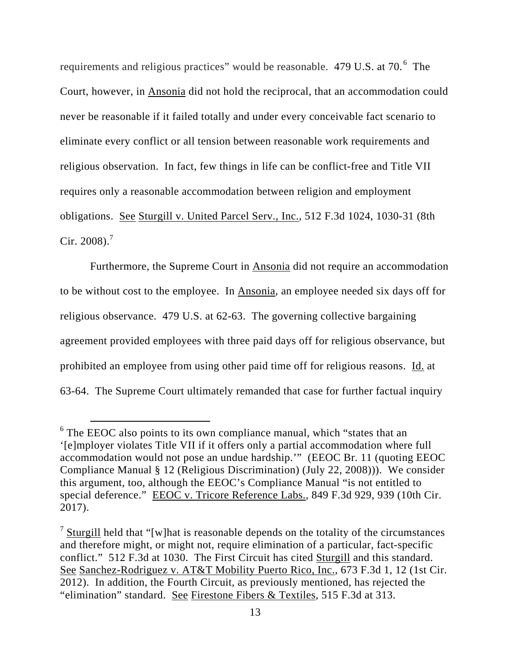requirements and religious practices" would be reasonable. 479 U.S. at 70. $^6$  The Court, however, in Ansonia did not hold the reciprocal, that an accommodation could never be reasonable if it failed totally and under every conceivable fact scenario to eliminate every conflict or all tension between reasonable work requirements and religious observation. In fact, few things in life can be conflict-free and Title VII requires only a reasonable accommodation between religion and employment obligations. See Sturgill v. United Parcel Serv., Inc., 512 F.3d 1024, 1030-31 (8th Cir. 2008).<sup>7</sup>

Furthermore, the Supreme Court in Ansonia did not require an accommodation to be without cost to the employee. In Ansonia, an employee needed six days off for religious observance. 479 U.S. at 62-63. The governing collective bargaining agreement provided employees with three paid days off for religious observance, but prohibited an employee from using other paid time off for religious reasons. Id. at 63-64. The Supreme Court ultimately remanded that case for further factual inquiry

<sup>&</sup>lt;sup>6</sup> The EEOC also points to its own compliance manual, which "states that an '[e]mployer violates Title VII if it offers only a partial accommodation where full accommodation would not pose an undue hardship.'" (EEOC Br. 11 (quoting EEOC Compliance Manual § 12 (Religious Discrimination) (July 22, 2008))). We consider this argument, too, although the EEOC's Compliance Manual "is not entitled to special deference." EEOC v. Tricore Reference Labs., 849 F.3d 929, 939 (10th Cir. 2017).

 $\frac{7}{1}$  Sturgill held that "[w] hat is reasonable depends on the totality of the circumstances and therefore might, or might not, require elimination of a particular, fact-specific conflict." 512 F.3d at 1030. The First Circuit has cited Sturgill and this standard. See Sanchez-Rodriguez v. AT&T Mobility Puerto Rico, Inc., 673 F.3d 1, 12 (1st Cir. 2012). In addition, the Fourth Circuit, as previously mentioned, has rejected the "elimination" standard. See Firestone Fibers & Textiles, 515 F.3d at 313.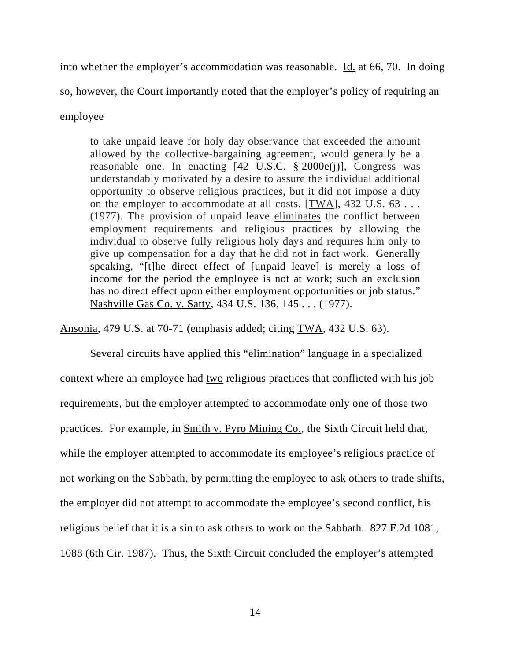into whether the employer's accommodation was reasonable. Id. at 66, 70. In doing so, however, the Court importantly noted that the employer's policy of requiring an employee

to take unpaid leave for holy day observance that exceeded the amount allowed by the collective-bargaining agreement, would generally be a reasonable one. In enacting  $[42 \text{ U.S.C. } § 2000e(i)]$ , Congress was understandably motivated by a desire to assure the individual additional opportunity to observe religious practices, but it did not impose a duty on the employer to accommodate at all costs. [TWA], 432 U.S. 63 . . . (1977). The provision of unpaid leave eliminates the conflict between employment requirements and religious practices by allowing the individual to observe fully religious holy days and requires him only to give up compensation for a day that he did not in fact work. Generally speaking, "[t]he direct effect of [unpaid leave] is merely a loss of income for the period the employee is not at work; such an exclusion has no direct effect upon either employment opportunities or job status." Nashville Gas Co. v. Satty, 434 U.S. 136, 145 . . . (1977).

Ansonia, 479 U.S. at 70-71 (emphasis added; citing TWA, 432 U.S. 63).

Several circuits have applied this "elimination" language in a specialized context where an employee had two religious practices that conflicted with his job requirements, but the employer attempted to accommodate only one of those two practices. For example, in Smith v. Pyro Mining Co., the Sixth Circuit held that, while the employer attempted to accommodate its employee's religious practice of not working on the Sabbath, by permitting the employee to ask others to trade shifts, the employer did not attempt to accommodate the employee's second conflict, his religious belief that it is a sin to ask others to work on the Sabbath. 827 F.2d 1081, 1088 (6th Cir. 1987). Thus, the Sixth Circuit concluded the employer's attempted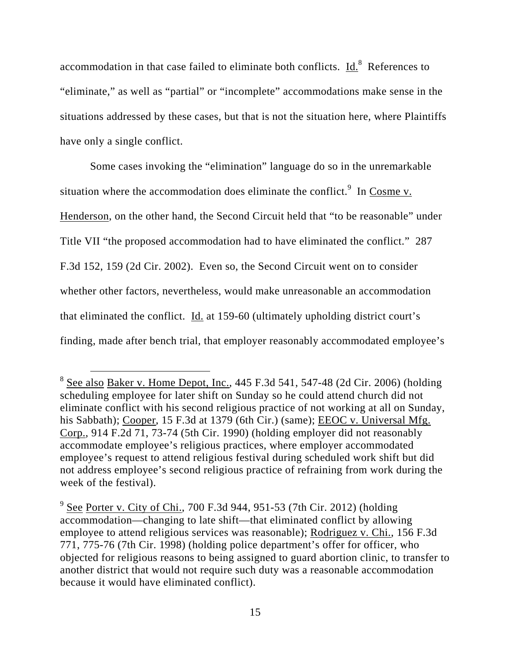accommodation in that case failed to eliminate both conflicts.  $\underline{Id}^8$ . References to "eliminate," as well as "partial" or "incomplete" accommodations make sense in the situations addressed by these cases, but that is not the situation here, where Plaintiffs have only a single conflict.

Some cases invoking the "elimination" language do so in the unremarkable situation where the accommodation does eliminate the conflict.<sup>9</sup> In Cosme v. Henderson, on the other hand, the Second Circuit held that "to be reasonable" under Title VII "the proposed accommodation had to have eliminated the conflict." 287 F.3d 152, 159 (2d Cir. 2002). Even so, the Second Circuit went on to consider whether other factors, nevertheless, would make unreasonable an accommodation that eliminated the conflict. Id. at 159-60 (ultimately upholding district court's finding, made after bench trial, that employer reasonably accommodated employee's

<sup>&</sup>lt;sup>8</sup> See also Baker v. Home Depot, Inc., 445 F.3d 541, 547-48 (2d Cir. 2006) (holding scheduling employee for later shift on Sunday so he could attend church did not eliminate conflict with his second religious practice of not working at all on Sunday, his Sabbath); Cooper, 15 F.3d at 1379 (6th Cir.) (same); **EEOC v. Universal Mfg.** Corp., 914 F.2d 71, 73-74 (5th Cir. 1990) (holding employer did not reasonably accommodate employee's religious practices, where employer accommodated employee's request to attend religious festival during scheduled work shift but did not address employee's second religious practice of refraining from work during the week of the festival).

 $9^{9}$  See Porter v. City of Chi., 700 F.3d 944, 951-53 (7th Cir. 2012) (holding accommodation—changing to late shift—that eliminated conflict by allowing employee to attend religious services was reasonable); Rodriguez v. Chi., 156 F.3d 771, 775-76 (7th Cir. 1998) (holding police department's offer for officer, who objected for religious reasons to being assigned to guard abortion clinic, to transfer to another district that would not require such duty was a reasonable accommodation because it would have eliminated conflict).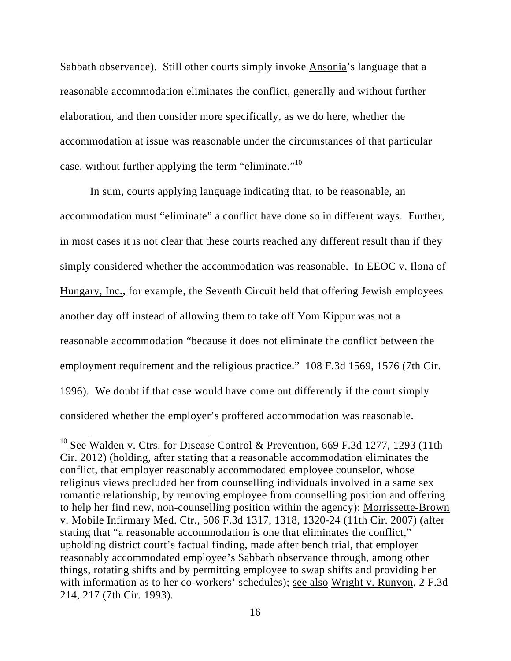Sabbath observance). Still other courts simply invoke Ansonia's language that a reasonable accommodation eliminates the conflict, generally and without further elaboration, and then consider more specifically, as we do here, whether the accommodation at issue was reasonable under the circumstances of that particular case, without further applying the term "eliminate."<sup>10</sup>

In sum, courts applying language indicating that, to be reasonable, an accommodation must "eliminate" a conflict have done so in different ways. Further, in most cases it is not clear that these courts reached any different result than if they simply considered whether the accommodation was reasonable. In EEOC v. Ilona of Hungary, Inc., for example, the Seventh Circuit held that offering Jewish employees another day off instead of allowing them to take off Yom Kippur was not a reasonable accommodation "because it does not eliminate the conflict between the employment requirement and the religious practice." 108 F.3d 1569, 1576 (7th Cir. 1996). We doubt if that case would have come out differently if the court simply considered whether the employer's proffered accommodation was reasonable.

<sup>&</sup>lt;sup>10</sup> See Walden v. Ctrs. for Disease Control & Prevention, 669 F.3d 1277, 1293 (11th Cir. 2012) (holding, after stating that a reasonable accommodation eliminates the conflict, that employer reasonably accommodated employee counselor, whose religious views precluded her from counselling individuals involved in a same sex romantic relationship, by removing employee from counselling position and offering to help her find new, non-counselling position within the agency); Morrissette-Brown v. Mobile Infirmary Med. Ctr., 506 F.3d 1317, 1318, 1320-24 (11th Cir. 2007) (after stating that "a reasonable accommodation is one that eliminates the conflict," upholding district court's factual finding, made after bench trial, that employer reasonably accommodated employee's Sabbath observance through, among other things, rotating shifts and by permitting employee to swap shifts and providing her with information as to her co-workers' schedules); see also Wright v. Runyon, 2 F.3d 214, 217 (7th Cir. 1993).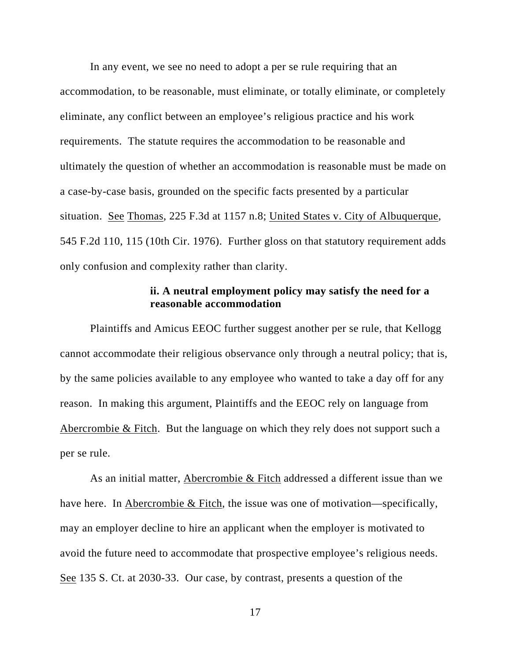In any event, we see no need to adopt a per se rule requiring that an accommodation, to be reasonable, must eliminate, or totally eliminate, or completely eliminate, any conflict between an employee's religious practice and his work requirements. The statute requires the accommodation to be reasonable and ultimately the question of whether an accommodation is reasonable must be made on a case-by-case basis, grounded on the specific facts presented by a particular situation. See Thomas, 225 F.3d at 1157 n.8; United States v. City of Albuquerque, 545 F.2d 110, 115 (10th Cir. 1976). Further gloss on that statutory requirement adds only confusion and complexity rather than clarity.

## **ii. A neutral employment policy may satisfy the need for a reasonable accommodation**

Plaintiffs and Amicus EEOC further suggest another per se rule, that Kellogg cannot accommodate their religious observance only through a neutral policy; that is, by the same policies available to any employee who wanted to take a day off for any reason. In making this argument, Plaintiffs and the EEOC rely on language from Abercrombie & Fitch. But the language on which they rely does not support such a per se rule.

As an initial matter, Abercrombie & Fitch addressed a different issue than we have here. In Abercrombie & Fitch, the issue was one of motivation—specifically, may an employer decline to hire an applicant when the employer is motivated to avoid the future need to accommodate that prospective employee's religious needs. See 135 S. Ct. at 2030-33. Our case, by contrast, presents a question of the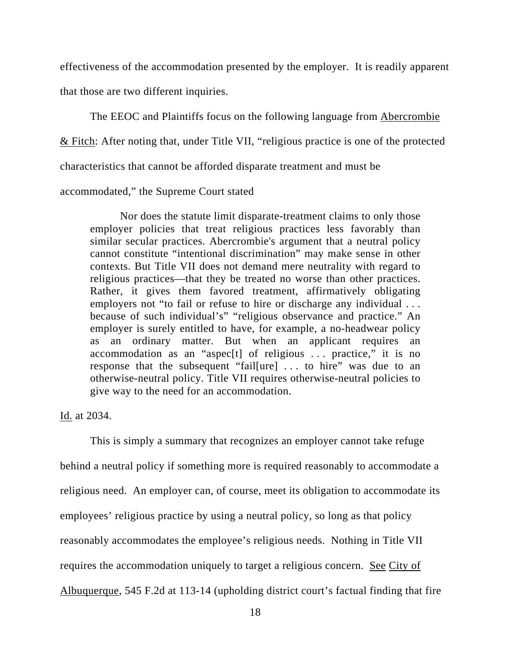effectiveness of the accommodation presented by the employer. It is readily apparent that those are two different inquiries.

The EEOC and Plaintiffs focus on the following language from Abercrombie & Fitch: After noting that, under Title VII, "religious practice is one of the protected characteristics that cannot be afforded disparate treatment and must be

accommodated," the Supreme Court stated

Nor does the statute limit disparate-treatment claims to only those employer policies that treat religious practices less favorably than similar secular practices. Abercrombie's argument that a neutral policy cannot constitute "intentional discrimination" may make sense in other contexts. But Title VII does not demand mere neutrality with regard to religious practices—that they be treated no worse than other practices. Rather, it gives them favored treatment, affirmatively obligating employers not "to fail or refuse to hire or discharge any individual ... because of such individual's" "religious observance and practice." An employer is surely entitled to have, for example, a no-headwear policy as an ordinary matter. But when an applicant requires an accommodation as an "aspectered of religious  $\ldots$  practice," it is no response that the subsequent "fail[ure] . . . to hire" was due to an otherwise-neutral policy. Title VII requires otherwise-neutral policies to give way to the need for an accommodation.

Id. at 2034.

This is simply a summary that recognizes an employer cannot take refuge behind a neutral policy if something more is required reasonably to accommodate a religious need. An employer can, of course, meet its obligation to accommodate its employees' religious practice by using a neutral policy, so long as that policy reasonably accommodates the employee's religious needs. Nothing in Title VII requires the accommodation uniquely to target a religious concern. See City of Albuquerque, 545 F.2d at 113-14 (upholding district court's factual finding that fire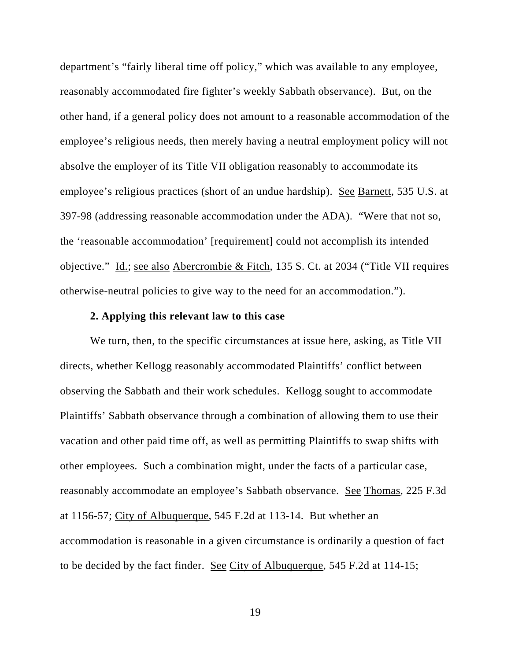department's "fairly liberal time off policy," which was available to any employee, reasonably accommodated fire fighter's weekly Sabbath observance). But, on the other hand, if a general policy does not amount to a reasonable accommodation of the employee's religious needs, then merely having a neutral employment policy will not absolve the employer of its Title VII obligation reasonably to accommodate its employee's religious practices (short of an undue hardship). See Barnett, 535 U.S. at 397-98 (addressing reasonable accommodation under the ADA). "Were that not so, the 'reasonable accommodation' [requirement] could not accomplish its intended objective." Id.; see also Abercrombie & Fitch, 135 S. Ct. at 2034 ("Title VII requires otherwise-neutral policies to give way to the need for an accommodation.").

#### **2. Applying this relevant law to this case**

We turn, then, to the specific circumstances at issue here, asking, as Title VII directs, whether Kellogg reasonably accommodated Plaintiffs' conflict between observing the Sabbath and their work schedules. Kellogg sought to accommodate Plaintiffs' Sabbath observance through a combination of allowing them to use their vacation and other paid time off, as well as permitting Plaintiffs to swap shifts with other employees. Such a combination might, under the facts of a particular case, reasonably accommodate an employee's Sabbath observance. See Thomas, 225 F.3d at 1156-57; City of Albuquerque, 545 F.2d at 113-14. But whether an accommodation is reasonable in a given circumstance is ordinarily a question of fact to be decided by the fact finder. See City of Albuquerque, 545 F.2d at 114-15;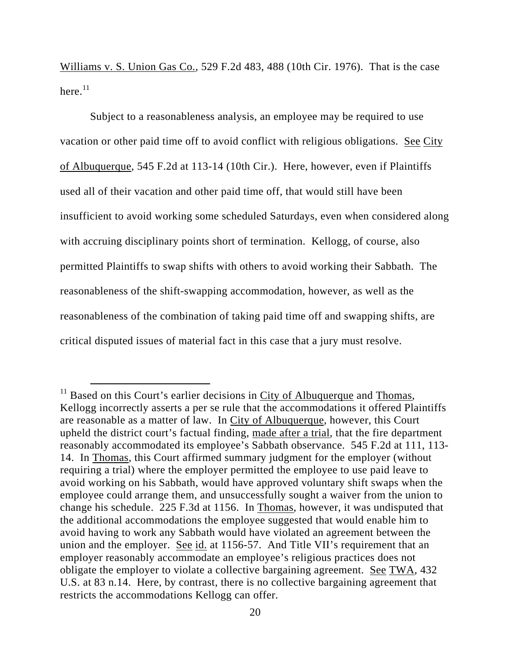Williams v. S. Union Gas Co., 529 F.2d 483, 488 (10th Cir. 1976). That is the case here. $^{11}$ 

 Subject to a reasonableness analysis, an employee may be required to use vacation or other paid time off to avoid conflict with religious obligations. See City of Albuquerque, 545 F.2d at 113-14 (10th Cir.). Here, however, even if Plaintiffs used all of their vacation and other paid time off, that would still have been insufficient to avoid working some scheduled Saturdays, even when considered along with accruing disciplinary points short of termination. Kellogg, of course, also permitted Plaintiffs to swap shifts with others to avoid working their Sabbath. The reasonableness of the shift-swapping accommodation, however, as well as the reasonableness of the combination of taking paid time off and swapping shifts, are critical disputed issues of material fact in this case that a jury must resolve.

 $11$  Based on this Court's earlier decisions in City of Albuquerque and Thomas, Kellogg incorrectly asserts a per se rule that the accommodations it offered Plaintiffs are reasonable as a matter of law. In City of Albuquerque, however, this Court upheld the district court's factual finding, made after a trial, that the fire department reasonably accommodated its employee's Sabbath observance. 545 F.2d at 111, 113- 14. In Thomas, this Court affirmed summary judgment for the employer (without requiring a trial) where the employer permitted the employee to use paid leave to avoid working on his Sabbath, would have approved voluntary shift swaps when the employee could arrange them, and unsuccessfully sought a waiver from the union to change his schedule. 225 F.3d at 1156. In Thomas, however, it was undisputed that the additional accommodations the employee suggested that would enable him to avoid having to work any Sabbath would have violated an agreement between the union and the employer. See id. at 1156-57. And Title VII's requirement that an employer reasonably accommodate an employee's religious practices does not obligate the employer to violate a collective bargaining agreement. See TWA, 432 U.S. at 83 n.14. Here, by contrast, there is no collective bargaining agreement that restricts the accommodations Kellogg can offer.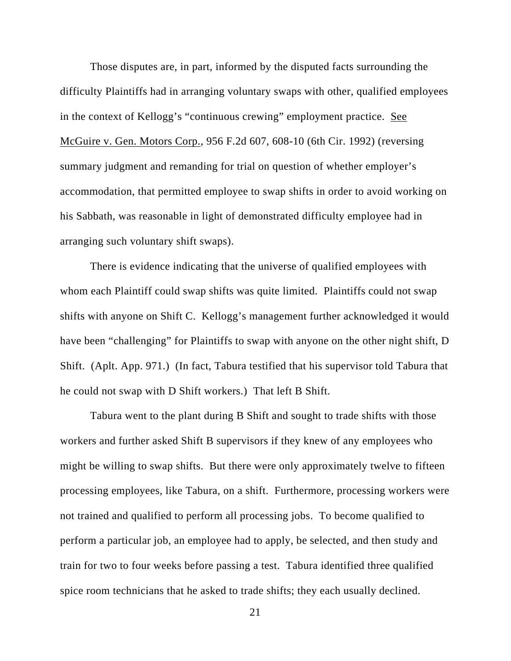Those disputes are, in part, informed by the disputed facts surrounding the difficulty Plaintiffs had in arranging voluntary swaps with other, qualified employees in the context of Kellogg's "continuous crewing" employment practice. See McGuire v. Gen. Motors Corp., 956 F.2d 607, 608-10 (6th Cir. 1992) (reversing summary judgment and remanding for trial on question of whether employer's accommodation, that permitted employee to swap shifts in order to avoid working on his Sabbath, was reasonable in light of demonstrated difficulty employee had in arranging such voluntary shift swaps).

There is evidence indicating that the universe of qualified employees with whom each Plaintiff could swap shifts was quite limited. Plaintiffs could not swap shifts with anyone on Shift C. Kellogg's management further acknowledged it would have been "challenging" for Plaintiffs to swap with anyone on the other night shift, D Shift. (Aplt. App. 971.) (In fact, Tabura testified that his supervisor told Tabura that he could not swap with D Shift workers.) That left B Shift.

Tabura went to the plant during B Shift and sought to trade shifts with those workers and further asked Shift B supervisors if they knew of any employees who might be willing to swap shifts. But there were only approximately twelve to fifteen processing employees, like Tabura, on a shift. Furthermore, processing workers were not trained and qualified to perform all processing jobs. To become qualified to perform a particular job, an employee had to apply, be selected, and then study and train for two to four weeks before passing a test. Tabura identified three qualified spice room technicians that he asked to trade shifts; they each usually declined.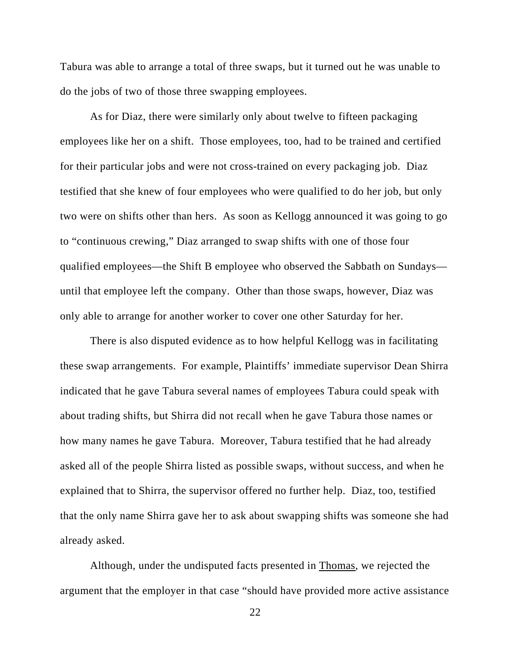Tabura was able to arrange a total of three swaps, but it turned out he was unable to do the jobs of two of those three swapping employees.

As for Diaz, there were similarly only about twelve to fifteen packaging employees like her on a shift. Those employees, too, had to be trained and certified for their particular jobs and were not cross-trained on every packaging job. Diaz testified that she knew of four employees who were qualified to do her job, but only two were on shifts other than hers. As soon as Kellogg announced it was going to go to "continuous crewing," Diaz arranged to swap shifts with one of those four qualified employees—the Shift B employee who observed the Sabbath on Sundays until that employee left the company. Other than those swaps, however, Diaz was only able to arrange for another worker to cover one other Saturday for her.

There is also disputed evidence as to how helpful Kellogg was in facilitating these swap arrangements. For example, Plaintiffs' immediate supervisor Dean Shirra indicated that he gave Tabura several names of employees Tabura could speak with about trading shifts, but Shirra did not recall when he gave Tabura those names or how many names he gave Tabura. Moreover, Tabura testified that he had already asked all of the people Shirra listed as possible swaps, without success, and when he explained that to Shirra, the supervisor offered no further help. Diaz, too, testified that the only name Shirra gave her to ask about swapping shifts was someone she had already asked.

Although, under the undisputed facts presented in Thomas, we rejected the argument that the employer in that case "should have provided more active assistance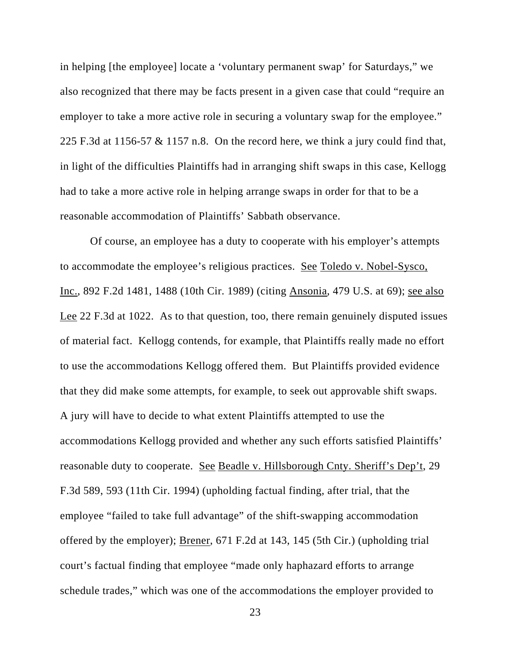in helping [the employee] locate a 'voluntary permanent swap' for Saturdays," we also recognized that there may be facts present in a given case that could "require an employer to take a more active role in securing a voluntary swap for the employee." 225 F.3d at 1156-57 & 1157 n.8. On the record here, we think a jury could find that, in light of the difficulties Plaintiffs had in arranging shift swaps in this case, Kellogg had to take a more active role in helping arrange swaps in order for that to be a reasonable accommodation of Plaintiffs' Sabbath observance.

Of course, an employee has a duty to cooperate with his employer's attempts to accommodate the employee's religious practices. See Toledo v. Nobel-Sysco, Inc., 892 F.2d 1481, 1488 (10th Cir. 1989) (citing Ansonia, 479 U.S. at 69); see also Lee 22 F.3d at 1022. As to that question, too, there remain genuinely disputed issues of material fact. Kellogg contends, for example, that Plaintiffs really made no effort to use the accommodations Kellogg offered them. But Plaintiffs provided evidence that they did make some attempts, for example, to seek out approvable shift swaps. A jury will have to decide to what extent Plaintiffs attempted to use the accommodations Kellogg provided and whether any such efforts satisfied Plaintiffs' reasonable duty to cooperate. See Beadle v. Hillsborough Cnty. Sheriff's Dep't, 29 F.3d 589, 593 (11th Cir. 1994) (upholding factual finding, after trial, that the employee "failed to take full advantage" of the shift-swapping accommodation offered by the employer); Brener, 671 F.2d at 143, 145 (5th Cir.) (upholding trial court's factual finding that employee "made only haphazard efforts to arrange schedule trades," which was one of the accommodations the employer provided to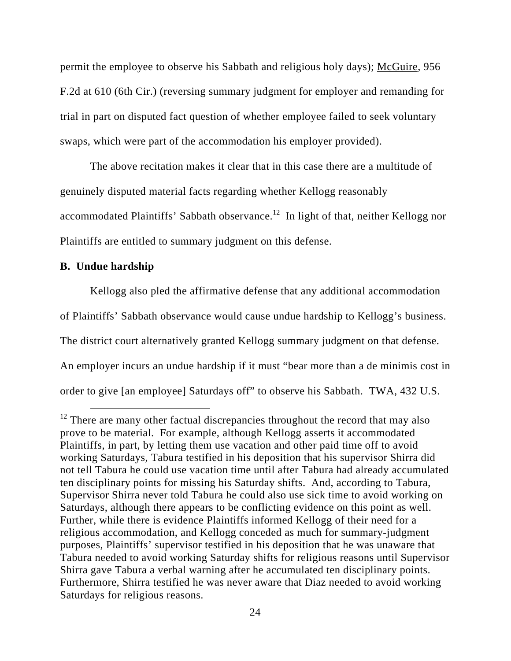permit the employee to observe his Sabbath and religious holy days); McGuire, 956 F.2d at 610 (6th Cir.) (reversing summary judgment for employer and remanding for trial in part on disputed fact question of whether employee failed to seek voluntary swaps, which were part of the accommodation his employer provided).

 The above recitation makes it clear that in this case there are a multitude of genuinely disputed material facts regarding whether Kellogg reasonably accommodated Plaintiffs' Sabbath observance.<sup>12</sup> In light of that, neither Kellogg nor Plaintiffs are entitled to summary judgment on this defense.

## **B. Undue hardship**

 Kellogg also pled the affirmative defense that any additional accommodation of Plaintiffs' Sabbath observance would cause undue hardship to Kellogg's business. The district court alternatively granted Kellogg summary judgment on that defense. An employer incurs an undue hardship if it must "bear more than a de minimis cost in order to give [an employee] Saturdays off" to observe his Sabbath. TWA, 432 U.S.

 $12$  There are many other factual discrepancies throughout the record that may also prove to be material. For example, although Kellogg asserts it accommodated Plaintiffs, in part, by letting them use vacation and other paid time off to avoid working Saturdays, Tabura testified in his deposition that his supervisor Shirra did not tell Tabura he could use vacation time until after Tabura had already accumulated ten disciplinary points for missing his Saturday shifts. And, according to Tabura, Supervisor Shirra never told Tabura he could also use sick time to avoid working on Saturdays, although there appears to be conflicting evidence on this point as well. Further, while there is evidence Plaintiffs informed Kellogg of their need for a religious accommodation, and Kellogg conceded as much for summary-judgment purposes, Plaintiffs' supervisor testified in his deposition that he was unaware that Tabura needed to avoid working Saturday shifts for religious reasons until Supervisor Shirra gave Tabura a verbal warning after he accumulated ten disciplinary points. Furthermore, Shirra testified he was never aware that Diaz needed to avoid working Saturdays for religious reasons.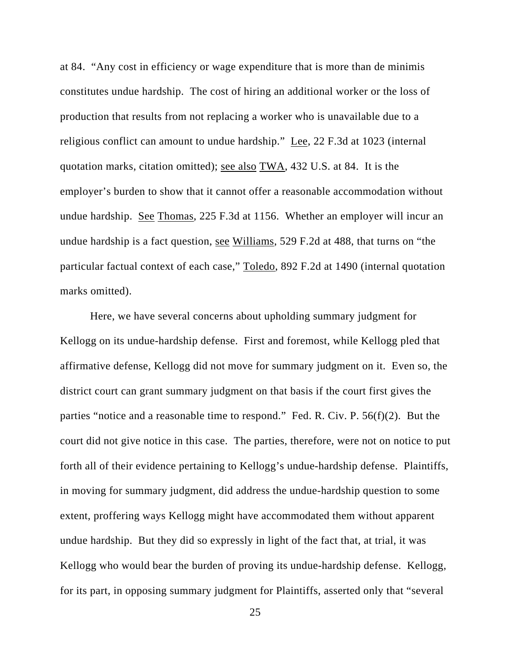at 84. "Any cost in efficiency or wage expenditure that is more than de minimis constitutes undue hardship. The cost of hiring an additional worker or the loss of production that results from not replacing a worker who is unavailable due to a religious conflict can amount to undue hardship." Lee, 22 F.3d at 1023 (internal quotation marks, citation omitted); see also TWA, 432 U.S. at 84. It is the employer's burden to show that it cannot offer a reasonable accommodation without undue hardship. See Thomas, 225 F.3d at 1156. Whether an employer will incur an undue hardship is a fact question, see Williams, 529 F.2d at 488, that turns on "the particular factual context of each case," Toledo, 892 F.2d at 1490 (internal quotation marks omitted).

Here, we have several concerns about upholding summary judgment for Kellogg on its undue-hardship defense. First and foremost, while Kellogg pled that affirmative defense, Kellogg did not move for summary judgment on it. Even so, the district court can grant summary judgment on that basis if the court first gives the parties "notice and a reasonable time to respond." Fed. R. Civ. P. 56(f)(2). But the court did not give notice in this case. The parties, therefore, were not on notice to put forth all of their evidence pertaining to Kellogg's undue-hardship defense. Plaintiffs, in moving for summary judgment, did address the undue-hardship question to some extent, proffering ways Kellogg might have accommodated them without apparent undue hardship. But they did so expressly in light of the fact that, at trial, it was Kellogg who would bear the burden of proving its undue-hardship defense. Kellogg, for its part, in opposing summary judgment for Plaintiffs, asserted only that "several